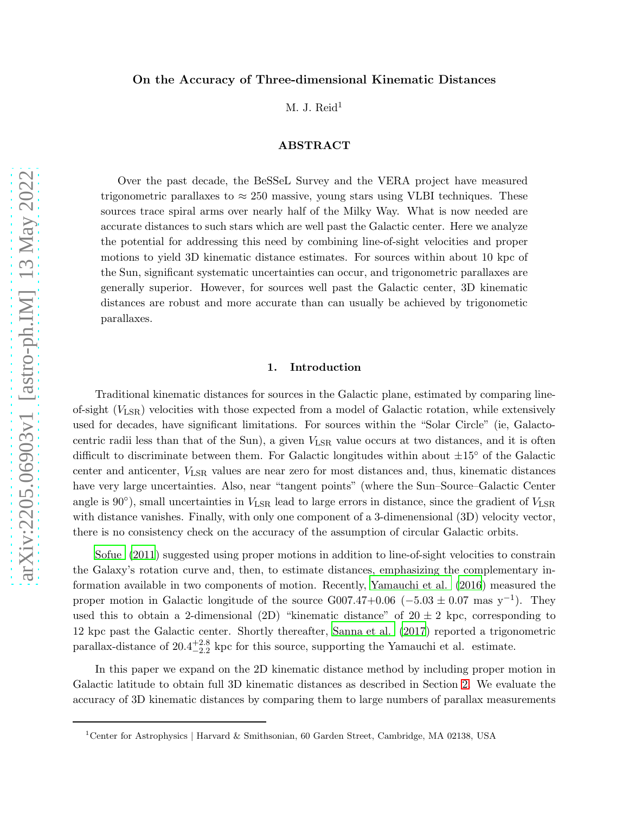# On the Accuracy of Three-dimensional Kinematic Distances

 $M. J.$  Reid<sup>1</sup>

# ABSTRACT

Over the past decade, the BeSSeL Survey and the VERA project have measured trigonometric parallaxes to  $\approx 250$  massive, young stars using VLBI techniques. These sources trace spiral arms over nearly half of the Milky Way. What is now needed are accurate distances to such stars which are well past the Galactic center. Here we analyze the potential for addressing this need by combining line-of-sight velocities and proper motions to yield 3D kinematic distance estimates. For sources within about 10 kpc of the Sun, significant systematic uncertainties can occur, and trigonometric parallaxes are generally superior. However, for sources well past the Galactic center, 3D kinematic distances are robust and more accurate than can usually be achieved by trigonometic parallaxes.

### 1. Introduction

Traditional kinematic distances for sources in the Galactic plane, estimated by comparing lineof-sight  $(V_{LSR})$  velocities with those expected from a model of Galactic rotation, while extensively used for decades, have significant limitations. For sources within the "Solar Circle" (ie, Galactocentric radii less than that of the Sun), a given  $V_{\rm LSR}$  value occurs at two distances, and it is often difficult to discriminate between them. For Galactic longitudes within about ±15◦ of the Galactic center and anticenter, VLSR values are near zero for most distances and, thus, kinematic distances have very large uncertainties. Also, near "tangent points" (where the Sun–Source–Galactic Center angle is 90 $^{\circ}$ ), small uncertainties in  $V_{\rm LSR}$  lead to large errors in distance, since the gradient of  $V_{\rm LSR}$ with distance vanishes. Finally, with only one component of a 3-dimenensional (3D) velocity vector, there is no consistency check on the accuracy of the assumption of circular Galactic orbits.

[Sofue \(2011](#page-9-0)) suggested using proper motions in addition to line-of-sight velocities to constrain the Galaxy's rotation curve and, then, to estimate distances, emphasizing the complementary information available in two components of motion. Recently, [Yamauchi et al. \(2016](#page-9-1)) measured the proper motion in Galactic longitude of the source  $G007.47+0.06$  ( $-5.03 \pm 0.07$  mas y<sup>-1</sup>). They used this to obtain a 2-dimensional (2D) "kinematic distance" of  $20 \pm 2$  kpc, corresponding to 12 kpc past the Galactic center. Shortly thereafter, [Sanna et al. \(2017](#page-9-2)) reported a trigonometric parallax-distance of  $20.4^{+2.8}_{-2.2}$  kpc for this source, supporting the Yamauchi et al. estimate.

In this paper we expand on the 2D kinematic distance method by including proper motion in Galactic latitude to obtain full 3D kinematic distances as described in Section [2.](#page-1-0) We evaluate the accuracy of 3D kinematic distances by comparing them to large numbers of parallax measurements

<sup>1</sup>Center for Astrophysics | Harvard & Smithsonian, 60 Garden Street, Cambridge, MA 02138, USA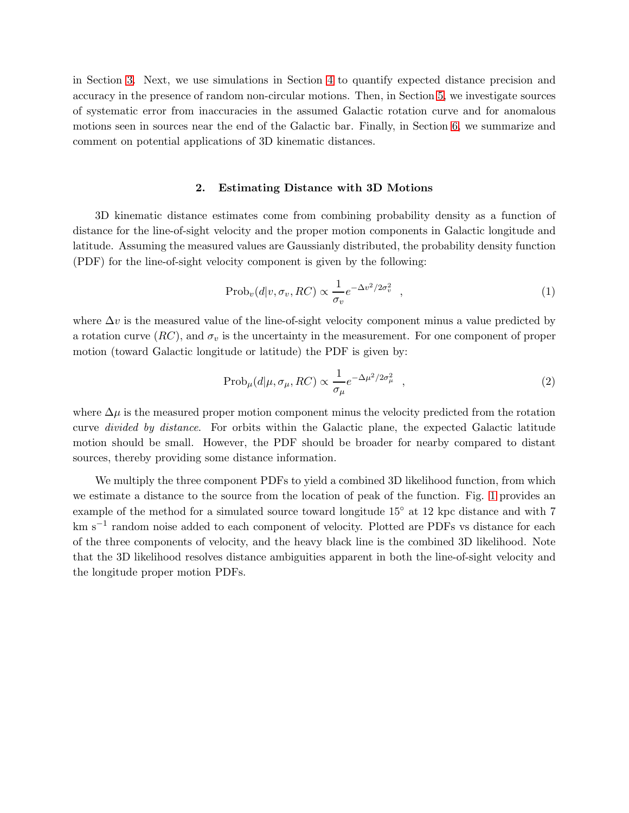in Section [3.](#page-2-0) Next, we use simulations in Section [4](#page-3-0) to quantify expected distance precision and accuracy in the presence of random non-circular motions. Then, in Section [5,](#page-6-0) we investigate sources of systematic error from inaccuracies in the assumed Galactic rotation curve and for anomalous motions seen in sources near the end of the Galactic bar. Finally, in Section [6,](#page-7-0) we summarize and comment on potential applications of 3D kinematic distances.

### 2. Estimating Distance with 3D Motions

<span id="page-1-0"></span>3D kinematic distance estimates come from combining probability density as a function of distance for the line-of-sight velocity and the proper motion components in Galactic longitude and latitude. Assuming the measured values are Gaussianly distributed, the probability density function (PDF) for the line-of-sight velocity component is given by the following:

$$
\text{Prob}_v(d|v, \sigma_v, RC) \propto \frac{1}{\sigma_v} e^{-\Delta v^2/2\sigma_v^2} \quad , \tag{1}
$$

where  $\Delta v$  is the measured value of the line-of-sight velocity component minus a value predicted by a rotation curve  $(RC)$ , and  $\sigma_v$  is the uncertainty in the measurement. For one component of proper motion (toward Galactic longitude or latitude) the PDF is given by:

$$
\text{Prob}_{\mu}(d|\mu, \sigma_{\mu}, RC) \propto \frac{1}{\sigma_{\mu}} e^{-\Delta\mu^2/2\sigma_{\mu}^2} \quad , \tag{2}
$$

where  $\Delta \mu$  is the measured proper motion component minus the velocity predicted from the rotation curve divided by distance. For orbits within the Galactic plane, the expected Galactic latitude motion should be small. However, the PDF should be broader for nearby compared to distant sources, thereby providing some distance information.

We multiply the three component PDFs to yield a combined 3D likelihood function, from which we estimate a distance to the source from the location of peak of the function. Fig. [1](#page-2-1) provides an example of the method for a simulated source toward longitude 15◦ at 12 kpc distance and with 7 km s−<sup>1</sup> random noise added to each component of velocity. Plotted are PDFs vs distance for each of the three components of velocity, and the heavy black line is the combined 3D likelihood. Note that the 3D likelihood resolves distance ambiguities apparent in both the line-of-sight velocity and the longitude proper motion PDFs.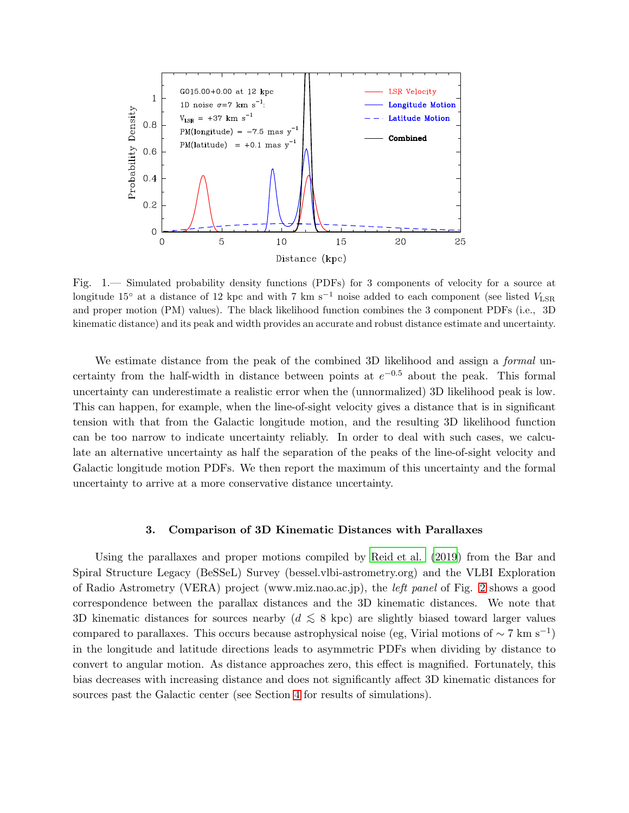

<span id="page-2-1"></span>Fig. 1.— Simulated probability density functions (PDFs) for 3 components of velocity for a source at longitude 15° at a distance of 12 kpc and with 7 km s<sup>-1</sup> noise added to each component (see listed  $V_{\rm LSR}$ and proper motion (PM) values). The black likelihood function combines the 3 component PDFs (i.e., 3D kinematic distance) and its peak and width provides an accurate and robust distance estimate and uncertainty.

We estimate distance from the peak of the combined 3D likelihood and assign a *formal* uncertainty from the half-width in distance between points at  $e^{-0.5}$  about the peak. This formal uncertainty can underestimate a realistic error when the (unnormalized) 3D likelihood peak is low. This can happen, for example, when the line-of-sight velocity gives a distance that is in significant tension with that from the Galactic longitude motion, and the resulting 3D likelihood function can be too narrow to indicate uncertainty reliably. In order to deal with such cases, we calculate an alternative uncertainty as half the separation of the peaks of the line-of-sight velocity and Galactic longitude motion PDFs. We then report the maximum of this uncertainty and the formal uncertainty to arrive at a more conservative distance uncertainty.

#### 3. Comparison of 3D Kinematic Distances with Parallaxes

<span id="page-2-0"></span>Using the parallaxes and proper motions compiled by [Reid et al. \(2019](#page-9-3)) from the Bar and Spiral Structure Legacy (BeSSeL) Survey (bessel.vlbi-astrometry.org) and the VLBI Exploration of Radio Astrometry (VERA) project (www.miz.nao.ac.jp), the left panel of Fig. [2](#page-3-1) shows a good correspondence between the parallax distances and the 3D kinematic distances. We note that 3D kinematic distances for sources nearby ( $d \leq 8$  kpc) are slightly biased toward larger values compared to parallaxes. This occurs because astrophysical noise (eg, Virial motions of  $\sim 7 \text{ km s}^{-1}$ ) in the longitude and latitude directions leads to asymmetric PDFs when dividing by distance to convert to angular motion. As distance approaches zero, this effect is magnified. Fortunately, this bias decreases with increasing distance and does not significantly affect 3D kinematic distances for sources past the Galactic center (see Section [4](#page-3-0) for results of simulations).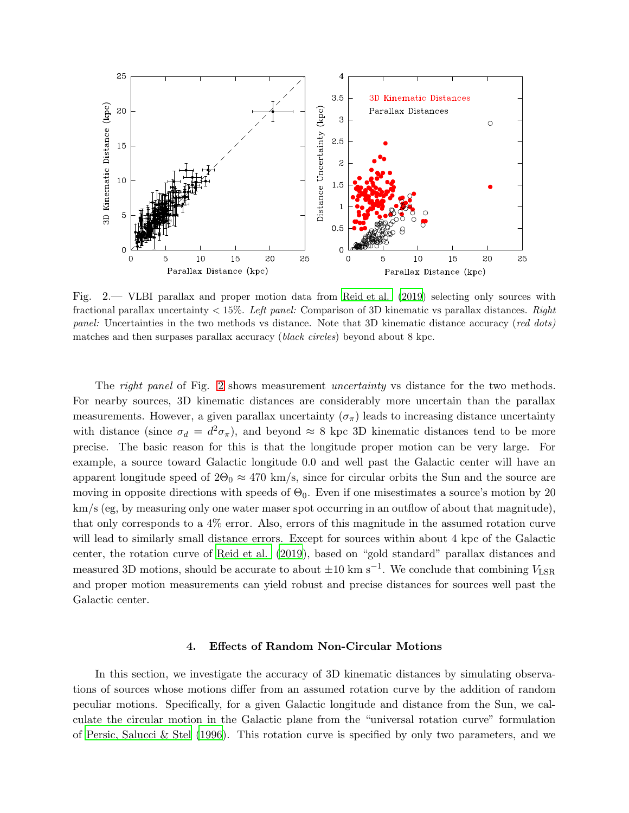

<span id="page-3-1"></span>Fig. 2.— VLBI parallax and proper motion data from [Reid et al. \(2019](#page-9-3)) selecting only sources with fractional parallax uncertainty  $< 15\%$ . Left panel: Comparison of 3D kinematic vs parallax distances. Right panel: Uncertainties in the two methods vs distance. Note that 3D kinematic distance accuracy (red dots) matches and then surpases parallax accuracy (black circles) beyond about 8 kpc.

The *right panel* of Fig. [2](#page-3-1) shows measurement *uncertainty* vs distance for the two methods. For nearby sources, 3D kinematic distances are considerably more uncertain than the parallax measurements. However, a given parallax uncertainty  $(\sigma_{\pi})$  leads to increasing distance uncertainty with distance (since  $\sigma_d = d^2 \sigma_{\pi}$ ), and beyond  $\approx 8$  kpc 3D kinematic distances tend to be more precise. The basic reason for this is that the longitude proper motion can be very large. For example, a source toward Galactic longitude 0.0 and well past the Galactic center will have an apparent longitude speed of  $2\Theta_0 \approx 470$  km/s, since for circular orbits the Sun and the source are moving in opposite directions with speeds of  $\Theta_0$ . Even if one misestimates a source's motion by 20 km/s (eg, by measuring only one water maser spot occurring in an outflow of about that magnitude), that only corresponds to a 4% error. Also, errors of this magnitude in the assumed rotation curve will lead to similarly small distance errors. Except for sources within about 4 kpc of the Galactic center, the rotation curve of [Reid et al. \(2019](#page-9-3)), based on "gold standard" parallax distances and measured 3D motions, should be accurate to about  $\pm 10 \text{ km s}^{-1}$ . We conclude that combining  $V_{\text{LSR}}$ and proper motion measurements can yield robust and precise distances for sources well past the Galactic center.

## 4. Effects of Random Non-Circular Motions

<span id="page-3-0"></span>In this section, we investigate the accuracy of 3D kinematic distances by simulating observations of sources whose motions differ from an assumed rotation curve by the addition of random peculiar motions. Specifically, for a given Galactic longitude and distance from the Sun, we calculate the circular motion in the Galactic plane from the "universal rotation curve" formulation of [Persic, Salucci & Stel \(1996](#page-9-4)). This rotation curve is specified by only two parameters, and we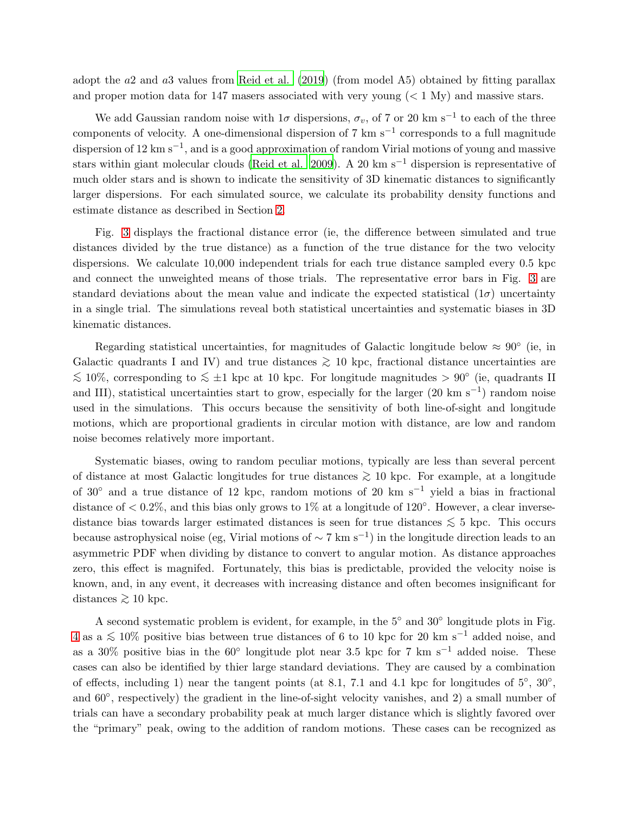adopt the a2 and a3 values from [Reid et al. \(2019](#page-9-3)) (from model A5) obtained by fitting parallax and proper motion data for 147 masers associated with very young  $(< 1 \text{ My})$  and massive stars.

We add Gaussian random noise with  $1\sigma$  dispersions,  $\sigma_v$ , of 7 or 20 km s<sup>-1</sup> to each of the three components of velocity. A one-dimensional dispersion of 7 km s−<sup>1</sup> corresponds to a full magnitude dispersion of 12 km s<sup>−1</sup>, and is a good approximation of random Virial motions of young and massive stars within giant molecular clouds [\(Reid et al. 2009](#page-9-5)). A 20 km s<sup>-1</sup> dispersion is representative of much older stars and is shown to indicate the sensitivity of 3D kinematic distances to significantly larger dispersions. For each simulated source, we calculate its probability density functions and estimate distance as described in Section [2.](#page-1-0)

Fig. [3](#page-5-0) displays the fractional distance error (ie, the difference between simulated and true distances divided by the true distance) as a function of the true distance for the two velocity dispersions. We calculate 10,000 independent trials for each true distance sampled every 0.5 kpc and connect the unweighted means of those trials. The representative error bars in Fig. [3](#page-5-0) are standard deviations about the mean value and indicate the expected statistical  $(1\sigma)$  uncertainty in a single trial. The simulations reveal both statistical uncertainties and systematic biases in 3D kinematic distances.

Regarding statistical uncertainties, for magnitudes of Galactic longitude below  $\approx 90^{\circ}$  (ie, in Galactic quadrants I and IV) and true distances  $\gtrsim$  10 kpc, fractional distance uncertainties are  $\lesssim 10\%$ , corresponding to  $\lesssim \pm 1$  kpc at 10 kpc. For longitude magnitudes > 90° (ie, quadrants II and III), statistical uncertainties start to grow, especially for the larger (20 km s<sup>-1</sup>) random noise used in the simulations. This occurs because the sensitivity of both line-of-sight and longitude motions, which are proportional gradients in circular motion with distance, are low and random noise becomes relatively more important.

Systematic biases, owing to random peculiar motions, typically are less than several percent of distance at most Galactic longitudes for true distances  $\geq 10$  kpc. For example, at a longitude of 30◦ and a true distance of 12 kpc, random motions of 20 km s−<sup>1</sup> yield a bias in fractional distance of  $< 0.2\%$ , and this bias only grows to 1% at a longitude of 120 $^{\circ}$ . However, a clear inversedistance bias towards larger estimated distances is seen for true distances  $\lesssim 5$  kpc. This occurs because astrophysical noise (eg, Virial motions of  $\sim 7 \text{ km s}^{-1}$ ) in the longitude direction leads to an asymmetric PDF when dividing by distance to convert to angular motion. As distance approaches zero, this effect is magnifed. Fortunately, this bias is predictable, provided the velocity noise is known, and, in any event, it decreases with increasing distance and often becomes insignificant for distances  $\gtrsim 10$  kpc.

A second systematic problem is evident, for example, in the 5◦ and 30◦ longitude plots in Fig. [4](#page-3-0) as a  $\lesssim 10\%$  positive bias between true distances of 6 to 10 kpc for 20 km s<sup>-1</sup> added noise, and as a 30% positive bias in the 60<sup>°</sup> longitude plot near 3.5 kpc for 7 km s<sup>-1</sup> added noise. These cases can also be identified by thier large standard deviations. They are caused by a combination of effects, including 1) near the tangent points (at 8.1, 7.1 and 4.1 kpc for longitudes of  $5^{\circ}$ ,  $30^{\circ}$ , and 60°, respectively) the gradient in the line-of-sight velocity vanishes, and 2) a small number of trials can have a secondary probability peak at much larger distance which is slightly favored over the "primary" peak, owing to the addition of random motions. These cases can be recognized as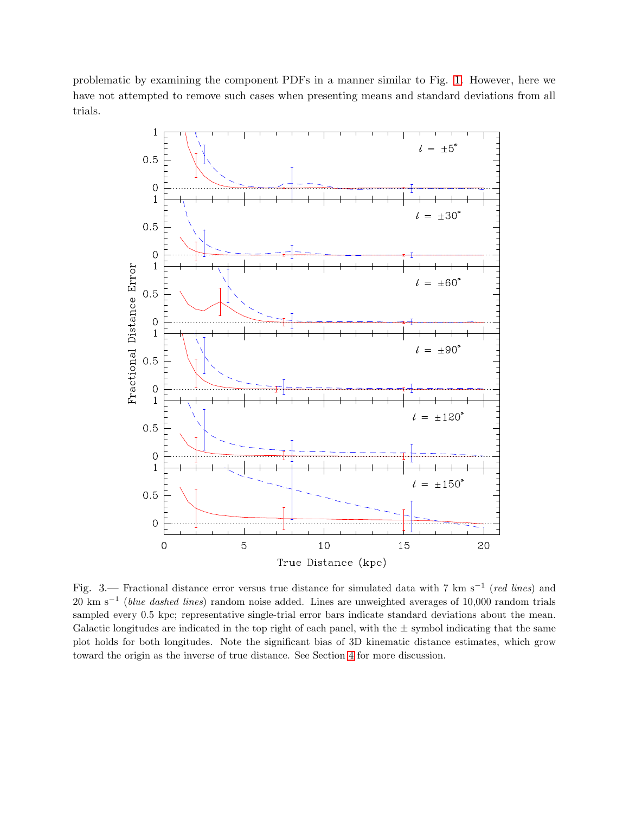problematic by examining the component PDFs in a manner similar to Fig. [1.](#page-2-1) However, here we have not attempted to remove such cases when presenting means and standard deviations from all trials.



<span id="page-5-0"></span>Fig. 3.— Fractional distance error versus true distance for simulated data with 7 km s<sup>-1</sup> (red lines) and  $20 \text{ km s}^{-1}$  (*blue dashed lines*) random noise added. Lines are unweighted averages of 10,000 random trials sampled every 0.5 kpc; representative single-trial error bars indicate standard deviations about the mean. Galactic longitudes are indicated in the top right of each panel, with the  $\pm$  symbol indicating that the same plot holds for both longitudes. Note the significant bias of 3D kinematic distance estimates, which grow toward the origin as the inverse of true distance. See Section [4](#page-3-0) for more discussion.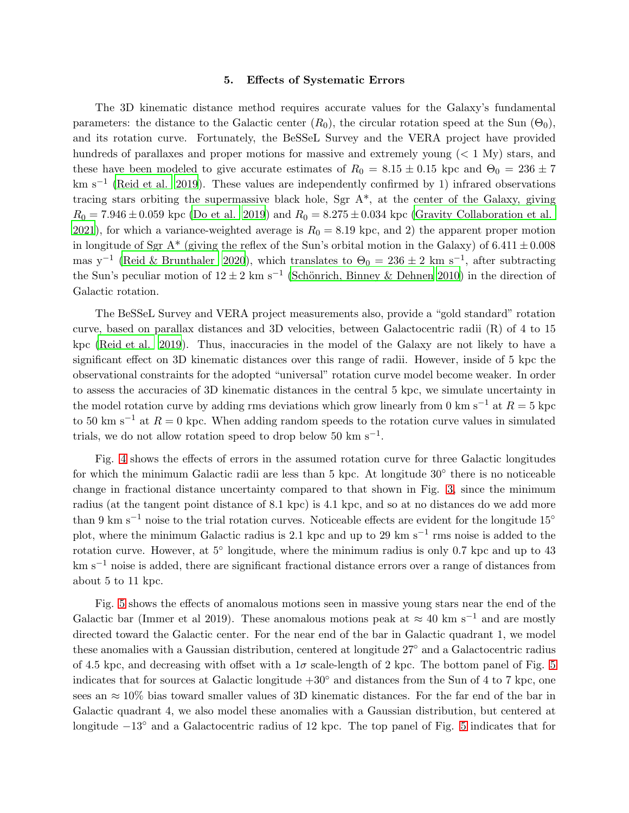#### 5. Effects of Systematic Errors

<span id="page-6-0"></span>The 3D kinematic distance method requires accurate values for the Galaxy's fundamental parameters: the distance to the Galactic center  $(R_0)$ , the circular rotation speed at the Sun  $(\Theta_0)$ , and its rotation curve. Fortunately, the BeSSeL Survey and the VERA project have provided hundreds of parallaxes and proper motions for massive and extremely young  $(< 1 \text{ My})$  stars, and these have been modeled to give accurate estimates of  $R_0 = 8.15 \pm 0.15$  kpc and  $\Theta_0 = 236 \pm 7$ km s<sup>-1</sup> [\(Reid et al. 2019](#page-9-3)). These values are independently confirmed by 1) infrared observations tracing stars orbiting the supermassive black hole, Sgr  $A^*$ , at the center of the Galaxy, giving  $R_0 = 7.946 \pm 0.059$  kpc [\(Do et al. 2019](#page-9-6)) and  $R_0 = 8.275 \pm 0.034$  kpc [\(Gravity Collaboration et al.](#page-9-7) [2021\)](#page-9-7), for which a variance-weighted average is  $R_0 = 8.19$  kpc, and 2) the apparent proper motion in longitude of Sgr A\* (giving the reflex of the Sun's orbital motion in the Galaxy) of  $6.411 \pm 0.008$ mas y<sup>-1</sup> [\(Reid & Brunthaler 2020](#page-9-8)), which translates to  $\Theta_0 = 236 \pm 2$  km s<sup>-1</sup>, after subtracting the Sun's peculiar motion of  $12 \pm 2$  km s<sup>-1</sup> (Schönrich, Binney & Dehnen 2010) in the direction of Galactic rotation.

The BeSSeL Survey and VERA project measurements also, provide a "gold standard" rotation curve, based on parallax distances and 3D velocities, between Galactocentric radii (R) of 4 to 15 kpc [\(Reid et al. 2019\)](#page-9-3). Thus, inaccuracies in the model of the Galaxy are not likely to have a significant effect on 3D kinematic distances over this range of radii. However, inside of 5 kpc the observational constraints for the adopted "universal" rotation curve model become weaker. In order to assess the accuracies of 3D kinematic distances in the central 5 kpc, we simulate uncertainty in the model rotation curve by adding rms deviations which grow linearly from 0 km s<sup>-1</sup> at  $R = 5$  kpc to 50 km s<sup>-1</sup> at  $R = 0$  kpc. When adding random speeds to the rotation curve values in simulated trials, we do not allow rotation speed to drop below  $50 \text{ km s}^{-1}$ .

Fig. [4](#page-7-1) shows the effects of errors in the assumed rotation curve for three Galactic longitudes for which the minimum Galactic radii are less than 5 kpc. At longitude 30<sup>°</sup> there is no noticeable change in fractional distance uncertainty compared to that shown in Fig. [3,](#page-5-0) since the minimum radius (at the tangent point distance of 8.1 kpc) is 4.1 kpc, and so at no distances do we add more than 9 km s−<sup>1</sup> noise to the trial rotation curves. Noticeable effects are evident for the longitude 15◦ plot, where the minimum Galactic radius is 2.1 kpc and up to 29 km s<sup>-1</sup> rms noise is added to the rotation curve. However, at 5◦ longitude, where the minimum radius is only 0.7 kpc and up to 43 km s−<sup>1</sup> noise is added, there are significant fractional distance errors over a range of distances from about 5 to 11 kpc.

Fig. [5](#page-8-0) shows the effects of anomalous motions seen in massive young stars near the end of the Galactic bar (Immer et al 2019). These anomalous motions peak at  $\approx 40 \text{ km s}^{-1}$  and are mostly directed toward the Galactic center. For the near end of the bar in Galactic quadrant 1, we model these anomalies with a Gaussian distribution, centered at longitude 27◦ and a Galactocentric radius of 4.5 kpc, and decreasing with offset with a  $1\sigma$  scale-length of 2 kpc. The bottom panel of Fig. [5](#page-8-0) indicates that for sources at Galactic longitude +30◦ and distances from the Sun of 4 to 7 kpc, one sees an  $\approx 10\%$  bias toward smaller values of 3D kinematic distances. For the far end of the bar in Galactic quadrant 4, we also model these anomalies with a Gaussian distribution, but centered at longitude −13◦ and a Galactocentric radius of 12 kpc. The top panel of Fig. [5](#page-8-0) indicates that for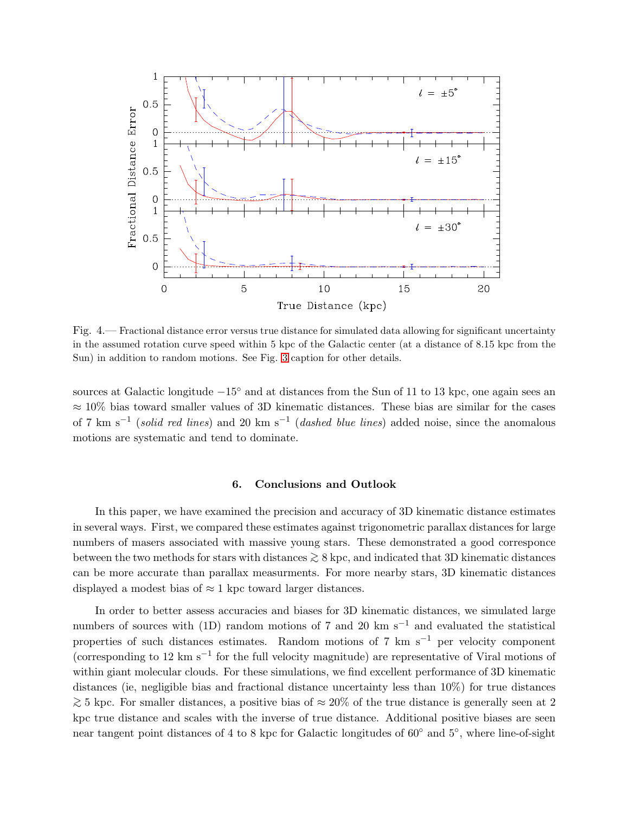

<span id="page-7-1"></span>Fig. 4.— Fractional distance error versus true distance for simulated data allowing for significant uncertainty in the assumed rotation curve speed within 5 kpc of the Galactic center (at a distance of 8.15 kpc from the Sun) in addition to random motions. See Fig. [3](#page-5-0) caption for other details.

sources at Galactic longitude −15<sup>°</sup> and at distances from the Sun of 11 to 13 kpc, one again sees an  $\approx 10\%$  bias toward smaller values of 3D kinematic distances. These bias are similar for the cases of 7 km s<sup>-1</sup> (solid red lines) and 20 km s<sup>-1</sup> (dashed blue lines) added noise, since the anomalous motions are systematic and tend to dominate.

### 6. Conclusions and Outlook

<span id="page-7-0"></span>In this paper, we have examined the precision and accuracy of 3D kinematic distance estimates in several ways. First, we compared these estimates against trigonometric parallax distances for large numbers of masers associated with massive young stars. These demonstrated a good corresponce between the two methods for stars with distances <sup>&</sup>gt;<sup>∼</sup> 8 kpc, and indicated that 3D kinematic distances can be more accurate than parallax measurments. For more nearby stars, 3D kinematic distances displayed a modest bias of  $\approx 1$  kpc toward larger distances.

In order to better assess accuracies and biases for 3D kinematic distances, we simulated large numbers of sources with (1D) random motions of 7 and 20 km s<sup>-1</sup> and evaluated the statistical properties of such distances estimates. Random motions of 7 km s<sup> $-1$ </sup> per velocity component (corresponding to 12 km s−<sup>1</sup> for the full velocity magnitude) are representative of Viral motions of within giant molecular clouds. For these simulations, we find excellent performance of 3D kinematic distances (ie, negligible bias and fractional distance uncertainty less than 10%) for true distances  $\geq 5$  kpc. For smaller distances, a positive bias of ≈ 20% of the true distance is generally seen at 2 kpc true distance and scales with the inverse of true distance. Additional positive biases are seen near tangent point distances of 4 to 8 kpc for Galactic longitudes of 60<sup>°</sup> and 5<sup>°</sup>, where line-of-sight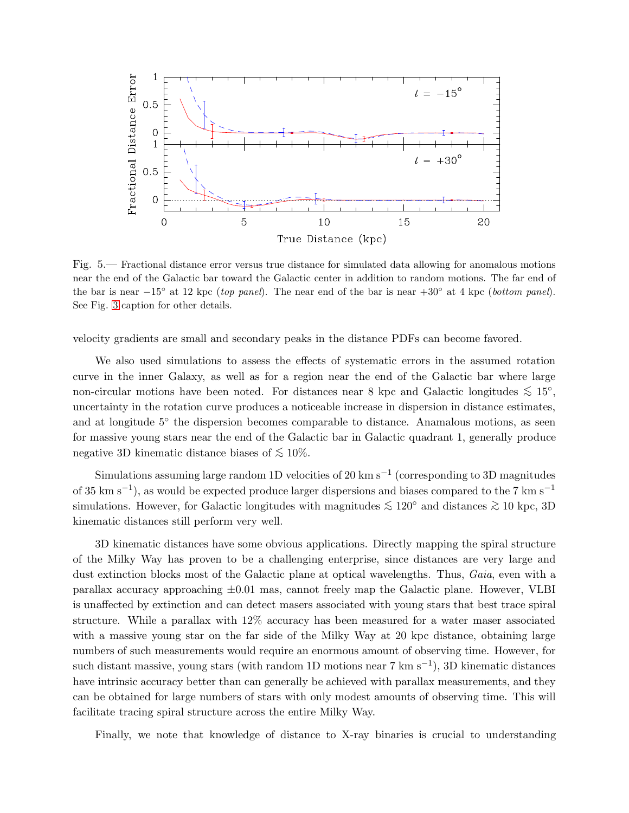

<span id="page-8-0"></span>Fig. 5.— Fractional distance error versus true distance for simulated data allowing for anomalous motions near the end of the Galactic bar toward the Galactic center in addition to random motions. The far end of the bar is near  $-15°$  at 12 kpc (top panel). The near end of the bar is near  $+30°$  at 4 kpc (bottom panel). See Fig. [3](#page-5-0) caption for other details.

velocity gradients are small and secondary peaks in the distance PDFs can become favored.

We also used simulations to assess the effects of systematic errors in the assumed rotation curve in the inner Galaxy, as well as for a region near the end of the Galactic bar where large non-circular motions have been noted. For distances near 8 kpc and Galactic longitudes  $\lesssim 15^{\circ}$ , uncertainty in the rotation curve produces a noticeable increase in dispersion in distance estimates, and at longitude 5<sup>°</sup> the dispersion becomes comparable to distance. Anamalous motions, as seen for massive young stars near the end of the Galactic bar in Galactic quadrant 1, generally produce negative 3D kinematic distance biases of  $\lesssim 10\%$ .

Simulations assuming large random 1D velocities of 20 km s−<sup>1</sup> (corresponding to 3D magnitudes of 35 km s<sup>-1</sup>), as would be expected produce larger dispersions and biases compared to the 7 km s<sup>-1</sup> simulations. However, for Galactic longitudes with magnitudes  $\lesssim 120^{\circ}$  and distances  $\gtrsim 10$  kpc, 3D kinematic distances still perform very well.

3D kinematic distances have some obvious applications. Directly mapping the spiral structure of the Milky Way has proven to be a challenging enterprise, since distances are very large and dust extinction blocks most of the Galactic plane at optical wavelengths. Thus, Gaia, even with a parallax accuracy approaching  $\pm 0.01$  mas, cannot freely map the Galactic plane. However, VLBI is unaffected by extinction and can detect masers associated with young stars that best trace spiral structure. While a parallax with 12% accuracy has been measured for a water maser associated with a massive young star on the far side of the Milky Way at 20 kpc distance, obtaining large numbers of such measurements would require an enormous amount of observing time. However, for such distant massive, young stars (with random 1D motions near 7 km s<sup>-1</sup>), 3D kinematic distances have intrinsic accuracy better than can generally be achieved with parallax measurements, and they can be obtained for large numbers of stars with only modest amounts of observing time. This will facilitate tracing spiral structure across the entire Milky Way.

Finally, we note that knowledge of distance to X-ray binaries is crucial to understanding